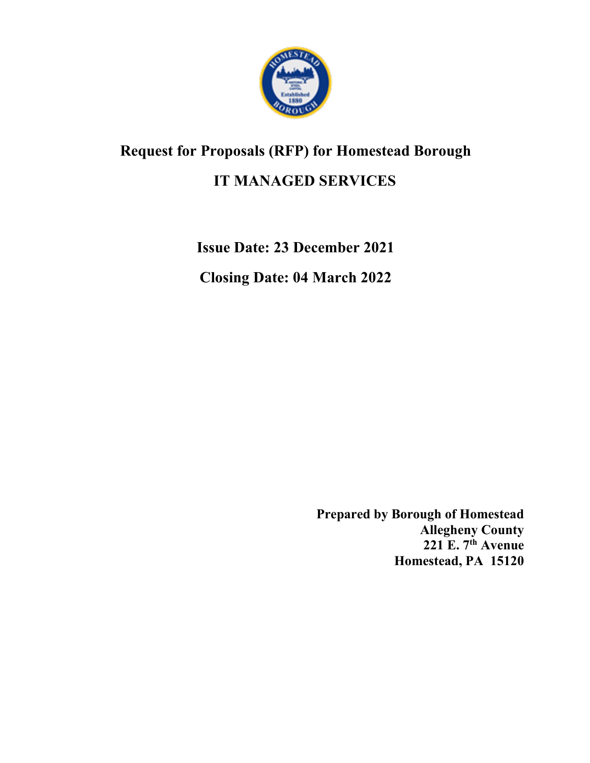

## <span id="page-0-0"></span>**Request for Proposals (RFP) for Homestead Borough**

### **IT MANAGED SERVICES**

**Issue Date: 23 December 2021**

<span id="page-0-1"></span>**Closing Date: 04 March 2022**

**Prepared by Borough of Homestead Allegheny County 221 E. 7th Avenue Homestead, PA 15120**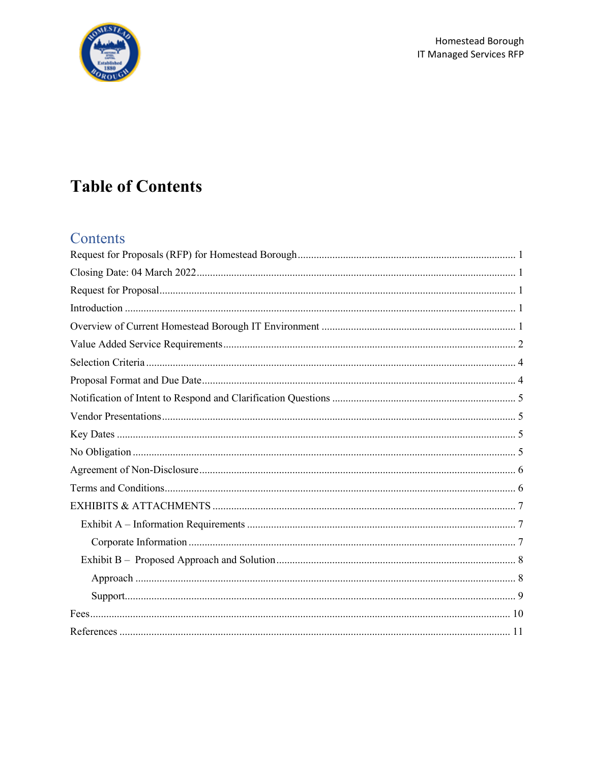

# **Table of Contents**

### Contents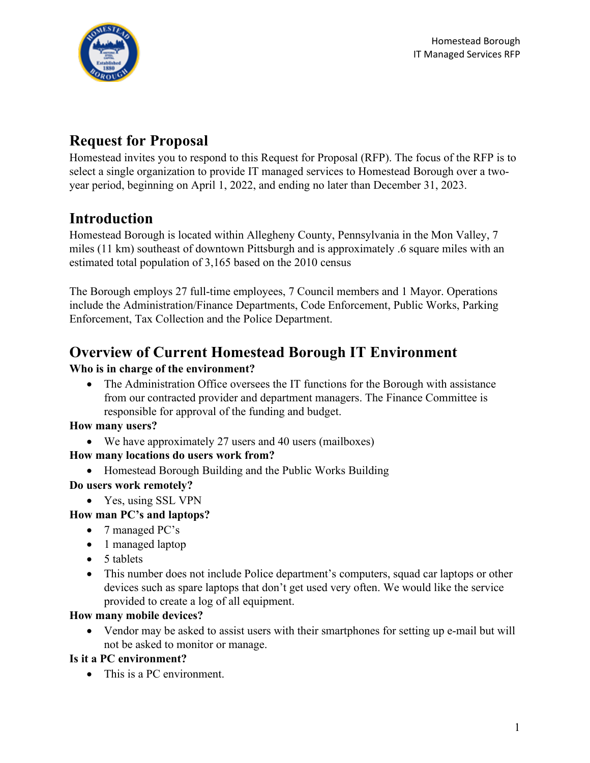

## <span id="page-2-0"></span>**Request for Proposal**

Homestead invites you to respond to this Request for Proposal (RFP). The focus of the RFP is to select a single organization to provide IT managed services to Homestead Borough over a twoyear period, beginning on April 1, 2022, and ending no later than December 31, 2023.

## <span id="page-2-1"></span>**Introduction**

Homestead Borough is located within Allegheny County, Pennsylvania in the Mon Valley, 7 miles (11 km) southeast of downtown Pittsburgh and is approximately .6 square miles with an estimated total population of 3,165 based on the 2010 census

The Borough employs 27 full-time employees, 7 Council members and 1 Mayor. Operations include the Administration/Finance Departments, Code Enforcement, Public Works, Parking Enforcement, Tax Collection and the Police Department.

## <span id="page-2-2"></span>**Overview of Current Homestead Borough IT Environment**

### **Who is in charge of the environment?**

• The Administration Office oversees the IT functions for the Borough with assistance from our contracted provider and department managers. The Finance Committee is responsible for approval of the funding and budget.

#### **How many users?**

• We have approximately 27 users and 40 users (mailboxes)

### **How many locations do users work from?**

• Homestead Borough Building and the Public Works Building

#### **Do users work remotely?**

• Yes, using SSL VPN

### **How man PC's and laptops?**

- 7 managed PC's
- 1 managed laptop
- 5 tablets
- This number does not include Police department's computers, squad car laptops or other devices such as spare laptops that don't get used very often. We would like the service provided to create a log of all equipment.

#### **How many mobile devices?**

• Vendor may be asked to assist users with their smartphones for setting up e-mail but will not be asked to monitor or manage.

### **Is it a PC environment?**

• This is a PC environment.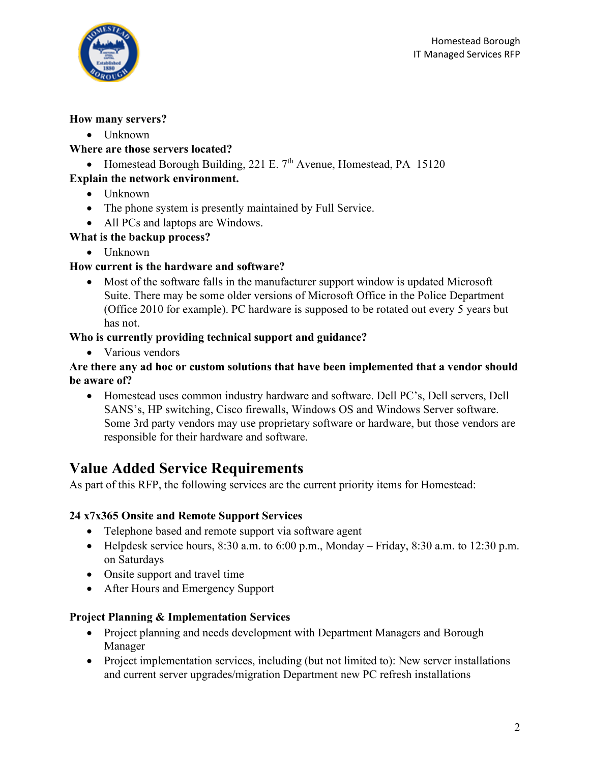

#### **How many servers?**

• Unknown

#### **Where are those servers located?**

• Homestead Borough Building, 221 E.  $7<sup>th</sup>$  Avenue, Homestead, PA 15120

### **Explain the network environment.**

- Unknown
- The phone system is presently maintained by Full Service.
- All PCs and laptops are Windows.

#### **What is the backup process?**

• Unknown

#### **How current is the hardware and software?**

• Most of the software falls in the manufacturer support window is updated Microsoft Suite. There may be some older versions of Microsoft Office in the Police Department (Office 2010 for example). PC hardware is supposed to be rotated out every 5 years but has not.

#### **Who is currently providing technical support and guidance?**

• Various vendors

#### **Are there any ad hoc or custom solutions that have been implemented that a vendor should be aware of?**

• Homestead uses common industry hardware and software. Dell PC's, Dell servers, Dell SANS's, HP switching, Cisco firewalls, Windows OS and Windows Server software. Some 3rd party vendors may use proprietary software or hardware, but those vendors are responsible for their hardware and software.

### <span id="page-3-0"></span>**Value Added Service Requirements**

As part of this RFP, the following services are the current priority items for Homestead:

### **24 x7x365 Onsite and Remote Support Services**

- Telephone based and remote support via software agent
- Helpdesk service hours,  $8:30$  a.m. to  $6:00$  p.m., Monday Friday,  $8:30$  a.m. to  $12:30$  p.m. on Saturdays
- Onsite support and travel time
- After Hours and Emergency Support

#### **Project Planning & Implementation Services**

- Project planning and needs development with Department Managers and Borough Manager
- Project implementation services, including (but not limited to): New server installations and current server upgrades/migration Department new PC refresh installations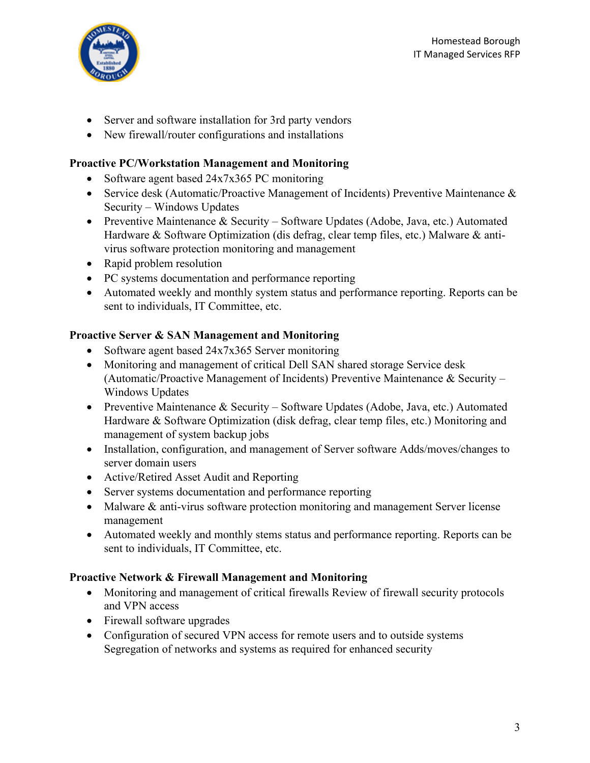

- Server and software installation for 3rd party vendors
- New firewall/router configurations and installations

#### **Proactive PC/Workstation Management and Monitoring**

- Software agent based 24x7x365 PC monitoring
- Service desk (Automatic/Proactive Management of Incidents) Preventive Maintenance & Security – Windows Updates
- Preventive Maintenance & Security Software Updates (Adobe, Java, etc.) Automated Hardware & Software Optimization (dis defrag, clear temp files, etc.) Malware & antivirus software protection monitoring and management
- Rapid problem resolution
- PC systems documentation and performance reporting
- Automated weekly and monthly system status and performance reporting. Reports can be sent to individuals, IT Committee, etc.

#### **Proactive Server & SAN Management and Monitoring**

- Software agent based 24x7x365 Server monitoring
- Monitoring and management of critical Dell SAN shared storage Service desk (Automatic/Proactive Management of Incidents) Preventive Maintenance & Security – Windows Updates
- Preventive Maintenance & Security Software Updates (Adobe, Java, etc.) Automated Hardware & Software Optimization (disk defrag, clear temp files, etc.) Monitoring and management of system backup jobs
- Installation, configuration, and management of Server software Adds/moves/changes to server domain users
- Active/Retired Asset Audit and Reporting
- Server systems documentation and performance reporting
- Malware & anti-virus software protection monitoring and management Server license management
- Automated weekly and monthly stems status and performance reporting. Reports can be sent to individuals, IT Committee, etc.

#### **Proactive Network & Firewall Management and Monitoring**

- Monitoring and management of critical firewalls Review of firewall security protocols and VPN access
- Firewall software upgrades
- Configuration of secured VPN access for remote users and to outside systems Segregation of networks and systems as required for enhanced security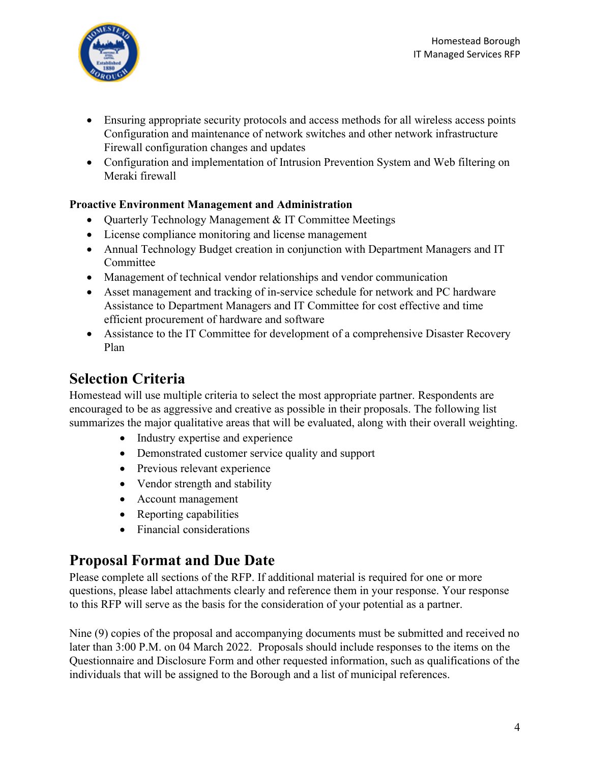

- Ensuring appropriate security protocols and access methods for all wireless access points Configuration and maintenance of network switches and other network infrastructure Firewall configuration changes and updates
- Configuration and implementation of Intrusion Prevention System and Web filtering on Meraki firewall

#### **Proactive Environment Management and Administration**

- Quarterly Technology Management & IT Committee Meetings
- License compliance monitoring and license management
- Annual Technology Budget creation in conjunction with Department Managers and IT Committee
- Management of technical vendor relationships and vendor communication
- Asset management and tracking of in-service schedule for network and PC hardware Assistance to Department Managers and IT Committee for cost effective and time efficient procurement of hardware and software
- Assistance to the IT Committee for development of a comprehensive Disaster Recovery Plan

## <span id="page-5-0"></span>**Selection Criteria**

Homestead will use multiple criteria to select the most appropriate partner. Respondents are encouraged to be as aggressive and creative as possible in their proposals. The following list summarizes the major qualitative areas that will be evaluated, along with their overall weighting.

- Industry expertise and experience
- Demonstrated customer service quality and support
- Previous relevant experience
- Vendor strength and stability
- Account management
- Reporting capabilities
- Financial considerations

## <span id="page-5-1"></span>**Proposal Format and Due Date**

Please complete all sections of the RFP. If additional material is required for one or more questions, please label attachments clearly and reference them in your response. Your response to this RFP will serve as the basis for the consideration of your potential as a partner.

Nine (9) copies of the proposal and accompanying documents must be submitted and received no later than 3:00 P.M. on 04 March 2022. Proposals should include responses to the items on the Questionnaire and Disclosure Form and other requested information, such as qualifications of the individuals that will be assigned to the Borough and a list of municipal references.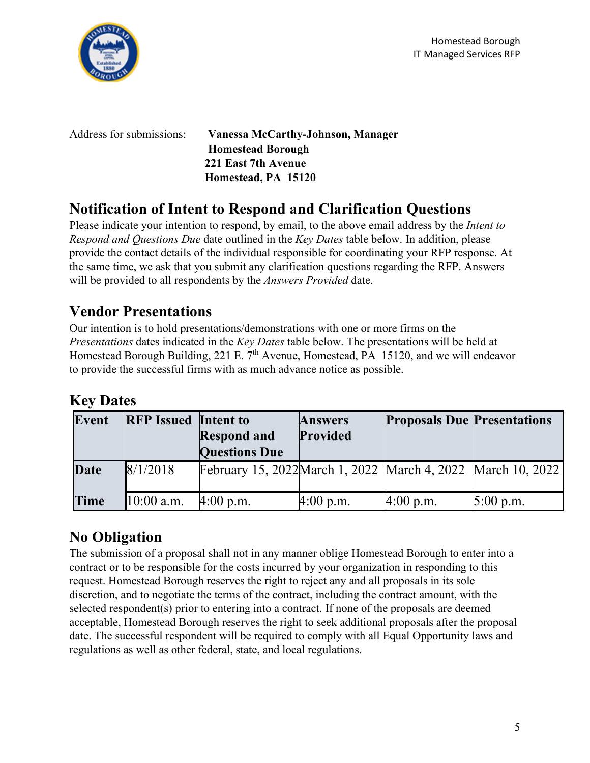



Address for submissions: **Vanessa McCarthy-Johnson, Manager Homestead Borough 221 East 7th Avenue Homestead, PA 15120**

## <span id="page-6-0"></span>**Notification of Intent to Respond and Clarification Questions**

Please indicate your intention to respond, by email, to the above email address by the *Intent to Respond and Questions Due* date outlined in the *Key Dates* table below. In addition, please provide the contact details of the individual responsible for coordinating your RFP response. At the same time, we ask that you submit any clarification questions regarding the RFP. Answers will be provided to all respondents by the *Answers Provided* date.

## <span id="page-6-1"></span>**Vendor Presentations**

Our intention is to hold presentations/demonstrations with one or more firms on the *Presentations* dates indicated in the *Key Dates* table below. The presentations will be held at Homestead Borough Building, 221 E. 7<sup>th</sup> Avenue, Homestead, PA 15120, and we will endeavor to provide the successful firms with as much advance notice as possible.

## <span id="page-6-2"></span>**Key Dates**

| Event       | <b>RFP</b> Issued Intent to | <b>Respond and</b><br><b>Questions Due</b>                   | <b>Answers</b><br>Provided | <b>Proposals Due Presentations</b> |             |
|-------------|-----------------------------|--------------------------------------------------------------|----------------------------|------------------------------------|-------------|
| <b>Date</b> | 8/1/2018                    | February 15, 2022 March 1, 2022 March 4, 2022 March 10, 2022 |                            |                                    |             |
| Time        | $10:00$ a.m.                | $4:00$ p.m.                                                  | $4:00$ p.m.                | $4:00$ p.m.                        | $5:00$ p.m. |

## <span id="page-6-3"></span>**No Obligation**

The submission of a proposal shall not in any manner oblige Homestead Borough to enter into a contract or to be responsible for the costs incurred by your organization in responding to this request. Homestead Borough reserves the right to reject any and all proposals in its sole discretion, and to negotiate the terms of the contract, including the contract amount, with the selected respondent(s) prior to entering into a contract. If none of the proposals are deemed acceptable, Homestead Borough reserves the right to seek additional proposals after the proposal date. The successful respondent will be required to comply with all Equal Opportunity laws and regulations as well as other federal, state, and local regulations.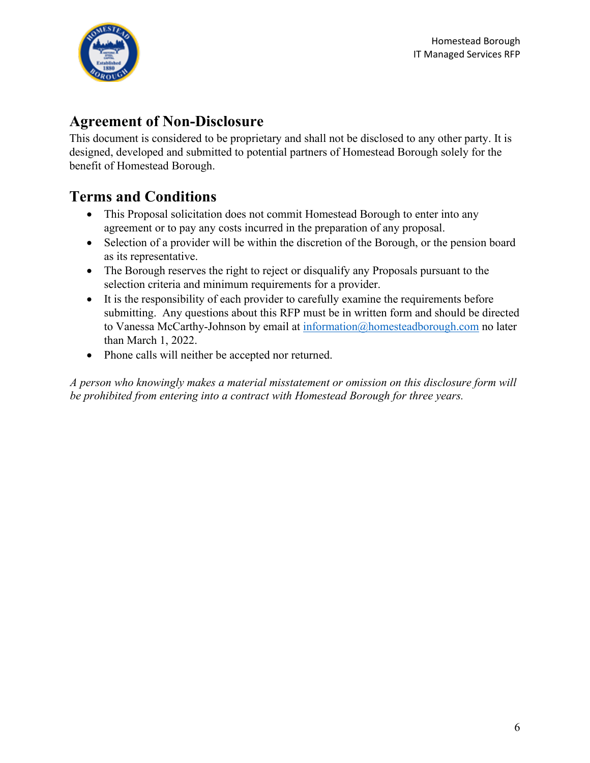

### <span id="page-7-0"></span>**Agreement of Non-Disclosure**

This document is considered to be proprietary and shall not be disclosed to any other party. It is designed, developed and submitted to potential partners of Homestead Borough solely for the benefit of Homestead Borough.

## <span id="page-7-1"></span>**Terms and Conditions**

- This Proposal solicitation does not commit Homestead Borough to enter into any agreement or to pay any costs incurred in the preparation of any proposal.
- Selection of a provider will be within the discretion of the Borough, or the pension board as its representative.
- The Borough reserves the right to reject or disqualify any Proposals pursuant to the selection criteria and minimum requirements for a provider.
- It is the responsibility of each provider to carefully examine the requirements before submitting. Any questions about this RFP must be in written form and should be directed to Vanessa McCarthy-Johnson by email at [information@homesteadborough.com](mailto:information@homesteadborough.com) no later than March 1, 2022.
- Phone calls will neither be accepted nor returned.

*A person who knowingly makes a material misstatement or omission on this disclosure form will be prohibited from entering into a contract with Homestead Borough for three years.*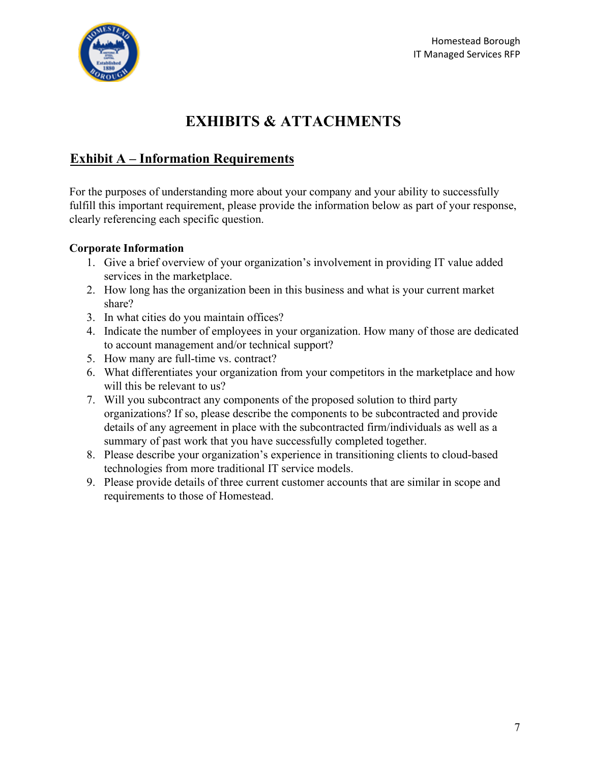

## **EXHIBITS & ATTACHMENTS**

### <span id="page-8-1"></span><span id="page-8-0"></span>**Exhibit A – Information Requirements**

For the purposes of understanding more about your company and your ability to successfully fulfill this important requirement, please provide the information below as part of your response, clearly referencing each specific question.

#### <span id="page-8-2"></span>**Corporate Information**

- 1. Give a brief overview of your organization's involvement in providing IT value added services in the marketplace.
- 2. How long has the organization been in this business and what is your current market share?
- 3. In what cities do you maintain offices?
- 4. Indicate the number of employees in your organization. How many of those are dedicated to account management and/or technical support?
- 5. How many are full-time vs. contract?
- 6. What differentiates your organization from your competitors in the marketplace and how will this be relevant to us?
- 7. Will you subcontract any components of the proposed solution to third party organizations? If so, please describe the components to be subcontracted and provide details of any agreement in place with the subcontracted firm/individuals as well as a summary of past work that you have successfully completed together.
- 8. Please describe your organization's experience in transitioning clients to cloud-based technologies from more traditional IT service models.
- 9. Please provide details of three current customer accounts that are similar in scope and requirements to those of Homestead.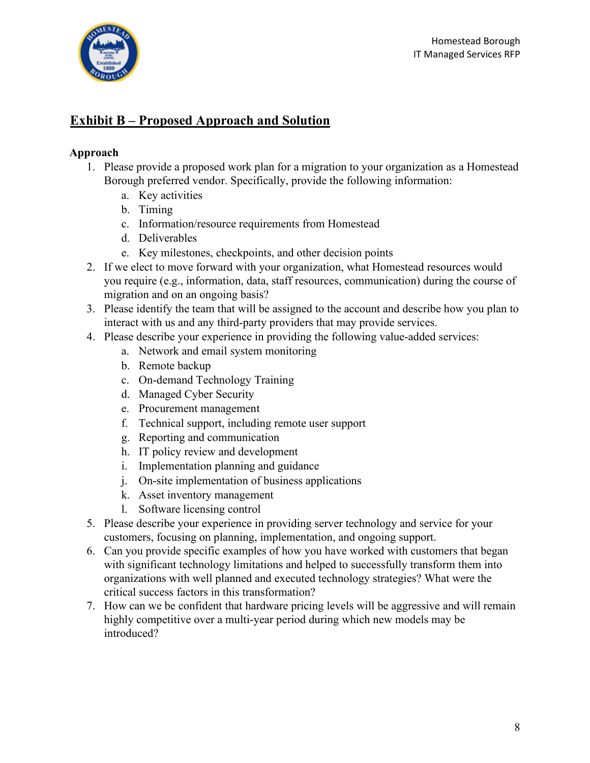

### <span id="page-9-0"></span>**Exhibit B – Proposed Approach and Solution**

#### <span id="page-9-1"></span>**Approach**

- 1. Please provide a proposed work plan for a migration to your organization as a Homestead Borough preferred vendor. Specifically, provide the following information:
	- a. Key activities
	- b. Timing
	- c. Information/resource requirements from Homestead
	- d. Deliverables
	- e. Key milestones, checkpoints, and other decision points
- 2. If we elect to move forward with your organization, what Homestead resources would you require (e.g., information, data, staff resources, communication) during the course of migration and on an ongoing basis?
- 3. Please identify the team that will be assigned to the account and describe how you plan to interact with us and any third-party providers that may provide services.
- 4. Please describe your experience in providing the following value-added services:
	- a. Network and email system monitoring
	- b. Remote backup
	- c. On-demand Technology Training
	- d. Managed Cyber Security
	- e. Procurement management
	- f. Technical support, including remote user support
	- g. Reporting and communication
	- h. IT policy review and development
	- i. Implementation planning and guidance
	- j. On-site implementation of business applications
	- k. Asset inventory management
	- l. Software licensing control
- 5. Please describe your experience in providing server technology and service for your customers, focusing on planning, implementation, and ongoing support.
- 6. Can you provide specific examples of how you have worked with customers that began with significant technology limitations and helped to successfully transform them into organizations with well planned and executed technology strategies? What were the critical success factors in this transformation?
- 7. How can we be confident that hardware pricing levels will be aggressive and will remain highly competitive over a multi-year period during which new models may be introduced?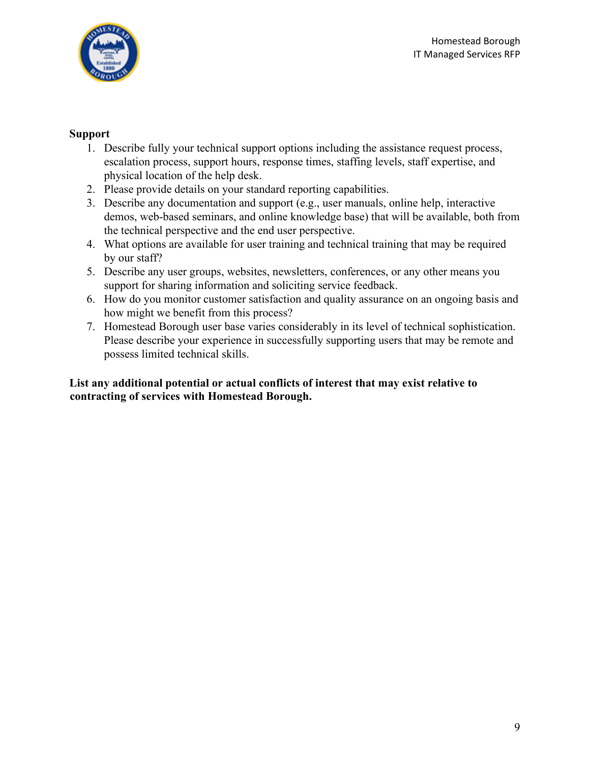

#### <span id="page-10-0"></span>**Support**

- 1. Describe fully your technical support options including the assistance request process, escalation process, support hours, response times, staffing levels, staff expertise, and physical location of the help desk.
- 2. Please provide details on your standard reporting capabilities.
- 3. Describe any documentation and support (e.g., user manuals, online help, interactive demos, web-based seminars, and online knowledge base) that will be available, both from the technical perspective and the end user perspective.
- 4. What options are available for user training and technical training that may be required by our staff?
- 5. Describe any user groups, websites, newsletters, conferences, or any other means you support for sharing information and soliciting service feedback.
- 6. How do you monitor customer satisfaction and quality assurance on an ongoing basis and how might we benefit from this process?
- 7. Homestead Borough user base varies considerably in its level of technical sophistication. Please describe your experience in successfully supporting users that may be remote and possess limited technical skills.

**List any additional potential or actual conflicts of interest that may exist relative to contracting of services with Homestead Borough.**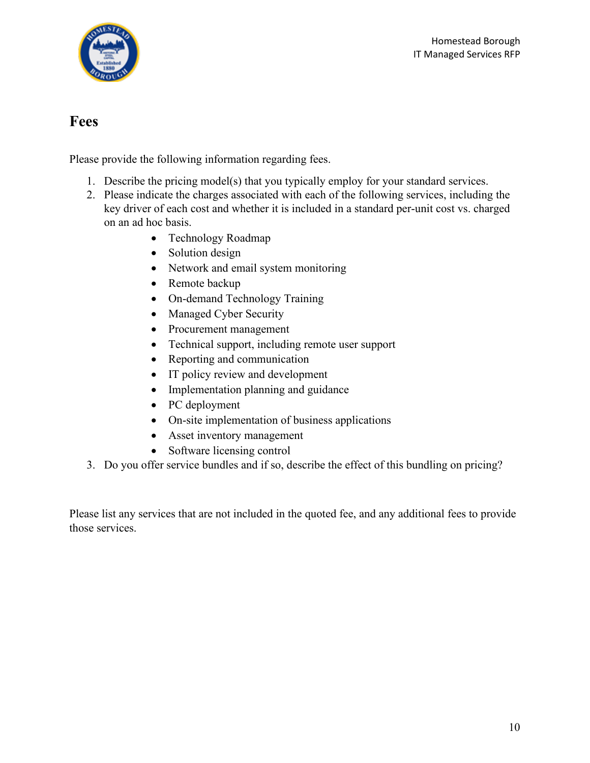

### <span id="page-11-0"></span>**Fees**

Please provide the following information regarding fees.

- 1. Describe the pricing model(s) that you typically employ for your standard services.
- 2. Please indicate the charges associated with each of the following services, including the key driver of each cost and whether it is included in a standard per-unit cost vs. charged on an ad hoc basis.
	- Technology Roadmap
	- Solution design
	- Network and email system monitoring
	- Remote backup
	- On-demand Technology Training
	- Managed Cyber Security
	- Procurement management
	- Technical support, including remote user support
	- Reporting and communication
	- IT policy review and development
	- Implementation planning and guidance
	- PC deployment
	- On-site implementation of business applications
	- Asset inventory management
	- Software licensing control
- 3. Do you offer service bundles and if so, describe the effect of this bundling on pricing?

Please list any services that are not included in the quoted fee, and any additional fees to provide those services.